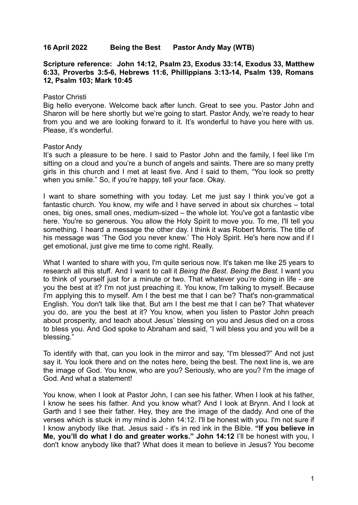## **16 April 2022 Being the Best Pastor Andy May (WTB)**

**Scripture reference: John 14:12, Psalm 23, Exodus 33:14, Exodus 33, Matthew 6:33, Proverbs 3:5-6, Hebrews 11:6, Phillippians 3:13-14, Psalm 139, Romans 12, Psalm 103; Mark 10:45**

## Pastor Christi

Big hello everyone. Welcome back after lunch. Great to see you. Pastor John and Sharon will be here shortly but we're going to start. Pastor Andy, we're ready to hear from you and we are looking forward to it. It's wonderful to have you here with us. Please, it's wonderful.

## Pastor Andy

It's such a pleasure to be here. I said to Pastor John and the family, I feel like I'm sitting on a cloud and you're a bunch of angels and saints. There are so many pretty girls in this church and I met at least five. And I said to them, "You look so pretty when you smile." So, if you're happy, tell your face. Okay.

I want to share something with you today. Let me just say I think you've got a fantastic church. You know, my wife and I have served in about six churches – total ones, big ones, small ones, medium-sized – the whole lot. You've got a fantastic vibe here. You're so generous. You allow the Holy Spirit to move you. To me, I'll tell you something. I heard a message the other day. I think it was Robert Morris. The title of his message was 'The God you never knew.' The Holy Spirit. He's here now and if I get emotional, just give me time to come right. Really.

What I wanted to share with you, I'm quite serious now. It's taken me like 25 years to research all this stuff. And I want to call it *Being the Best*. *Being the Best.* I want you to think of yourself just for a minute or two. That whatever you're doing in life - are you the best at it? I'm not just preaching it. You know, I'm talking to myself. Because I'm applying this to myself. Am I the best me that I can be? That's non-grammatical English. You don't talk like that. But am I the best me that I can be? That whatever you do, are you the best at it? You know, when you listen to Pastor John preach about prosperity, and teach about Jesus' blessing on you and Jesus died on a cross to bless you. And God spoke to Abraham and said, "I will bless you and you will be a blessing."

To identify with that, can you look in the mirror and say, "I'm blessed?" And not just say it. You look there and on the notes here, being the best. The next line is, we are the image of God. You know, who are you? Seriously, who are you? I'm the image of God. And what a statement!

You know, when I look at Pastor John, I can see his father. When I look at his father, I know he sees his father. And you know what? And I look at Brynn. And I look at Garth and I see their father. Hey, they are the image of the daddy. And one of the verses which is stuck in my mind is John 14:12. I'll be honest with you. I'm not sure if I know anybody like that. Jesus said - it's in red ink in the Bible. **"If you believe in Me, you'll do what I do and greater works." John 14:12** I'll be honest with you, I don't know anybody like that? What does it mean to believe in Jesus? You become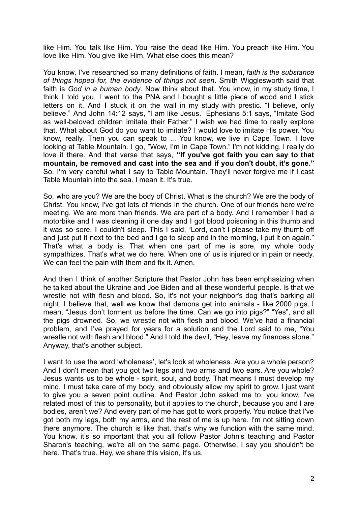like Him. You talk like Him. You raise the dead like Him. You preach like Him. You love like Him. You give like Him. What else does this mean?

You know, I've researched so many definitions of faith. I mean, *faith is the substance of things hoped for, the evidence of things not seen*. Smith Wigglesworth said that faith is *God in a human body*. Now think about that. You know, in my study time, I think I told you, I went to the PNA and I bought a little piece of wood and I stick letters on it. And I stuck it on the wall in my study with prestic. "I believe, only believe." And John 14:12 says, "I am like Jesus." Ephesians 5:1 says, "Imitate God as well-beloved children imitate their Father." I wish we had time to really explore that. What about God do you want to imitate? I would love to imitate His power. You know, really. Then you can speak to ... You know, we live in Cape Town. I Iove looking at Table Mountain. I go, "Wow, I'm in Cape Town." I'm not kidding. I really do love it there. And that verse that says, **"If you've got faith you can say to that mountain, be removed and cast into the sea and if you don't doubt, it's gone."** So, I'm very careful what I say to Table Mountain. They'll never forgive me if I cast Table Mountain into the sea. I mean it. It's true.

So, who are you? We are the body of Christ. What is the church? We are the body of Christ. You know, I've got lots of friends in the church. One of our friends here we're meeting. We are more than friends. We are part of a body. And I remember I had a motorbike and I was cleaning it one day and I got blood poisoning in this thumb and it was so sore, I couldn't sleep. This I said, "Lord, can't I please take my thumb off and just put it next to the bed and I go to sleep and in the morning, I put it on again." That's what a body is. That when one part of me is sore, my whole body sympathizes. That's what we do here. When one of us is injured or in pain or needy. We can feel the pain with them and fix it. Amen.

And then I think of another Scripture that Pastor John has been emphasizing when he talked about the Ukraine and Joe Biden and all these wonderful people. Is that we wrestle not with flesh and blood. So, it's not your neighbor's dog that's barking all night. I believe that, well we know that demons get into animals - like 2000 pigs. I mean, "Jesus don't torment us before the time. Can we go into pigs?" "Yes", and all the pigs drowned. So, we wrestle not with flesh and blood. We've had a financial problem, and I've prayed for years for a solution and the Lord said to me, "You wrestle not with flesh and blood." And I told the devil, "Hey, leave my finances alone." Anyway, that's another subject.

I want to use the word 'wholeness', let's look at wholeness. Are you a whole person? And I don't mean that you got two legs and two arms and two ears. Are you whole? Jesus wants us to be whole - spirit, soul, and body. That means I must develop my mind, I must take care of my body, and obviously allow my spirit to grow. I just want to give you a seven point outline. And Pastor John asked me to, you know, I've related most of this to personality, but it applies to the church, because you and I are bodies, aren't we? And every part of me has got to work properly. You notice that I've got both my legs, both my arms, and the rest of me is up here. I'm not sitting down there anymore. The church is like that, that's why we function with the same mind. You know, it's so important that you all follow Pastor John's teaching and Pastor Sharon's teaching, we're all on the same page. Otherwise, I say you shouldn't be here. That's true. Hey, we share this vision, it's us.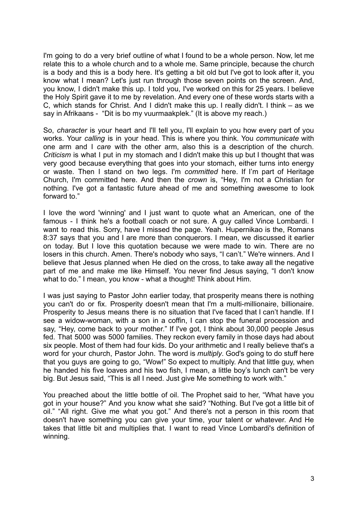I'm going to do a very brief outline of what I found to be a whole person. Now, let me relate this to a whole church and to a whole me. Same principle, because the church is a body and this is a body here. It's getting a bit old but I've got to look after it, you know what I mean? Let's just run through those seven points on the screen. And, you know, I didn't make this up. I told you, I've worked on this for 25 years. I believe the Holy Spirit gave it to me by revelation. And every one of these words starts with a C, which stands for Christ. And I didn't make this up. I really didn't. I think – as we say in Afrikaans - "Dit is bo my vuurmaakplek." (It is above my reach.)

So, *character* is your heart and I'll tell you, I'll explain to you how every part of you works. Your *calling* is in your head. This is where you think. You *communicate* with one arm and I *care* with the other arm, also this is a description of the church. *Criticism* is what I put in my stomach and I didn't make this up but I thought that was very good because everything that goes into your stomach, either turns into energy or waste. Then I stand on two legs. I'm *committed* here. If I'm part of Heritage Church, I'm committed here. And then the *crown* is, "Hey, I'm not a Christian for nothing. I've got a fantastic future ahead of me and something awesome to look forward to."

I love the word 'winning' and I just want to quote what an American, one of the famous - I think he's a football coach or not sure. A guy called Vince Lombardi. I want to read this. Sorry, have I missed the page. Yeah. Hupernikao is the, Romans 8:37 says that you and I are more than conquerors. I mean, we discussed it earlier on today. But I love this quotation because we were made to win. There are no losers in this church. Amen. There's nobody who says, "I can't." We're winners. And I believe that Jesus planned when He died on the cross, to take away all the negative part of me and make me like Himself. You never find Jesus saying, "I don't know what to do." I mean, you know - what a thought! Think about Him.

I was just saying to Pastor John earlier today, that prosperity means there is nothing you can't do or fix. Prosperity doesn't mean that I'm a multi-millionaire, billionaire. Prosperity to Jesus means there is no situation that I've faced that I can't handle. If I see a widow-woman, with a son in a coffin, I can stop the funeral procession and say, "Hey, come back to your mother." If I've got, I think about 30,000 people Jesus fed. That 5000 was 5000 families. They reckon every family in those days had about six people. Most of them had four kids. Do your arithmetic and I really believe that's a word for your church, Pastor John. The word is *multiply*. God's going to do stuff here that you guys are going to go, "Wow!" So expect to multiply. And that little guy, when he handed his five loaves and his two fish, I mean, a little boy's lunch can't be very big. But Jesus said, "This is all I need. Just give Me something to work with."

You preached about the little bottle of oil. The Prophet said to her, "What have you got in your house?" And you know what she said? "Nothing. But I've got a little bit of oil." "All right. Give me what you got." And there's not a person in this room that doesn't have something you can give your time, your talent or whatever. And He takes that little bit and multiplies that. I want to read Vince Lombardi's definition of winning.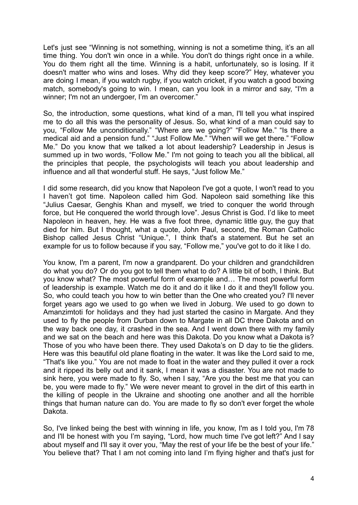Let's just see "Winning is not something, winning is not a sometime thing, it's an all time thing. You don't win once in a while. You don't do things right once in a while. You do them right all the time. Winning is a habit, unfortunately, so is losing. If it doesn't matter who wins and loses. Why did they keep score?" Hey, whatever you are doing I mean, if you watch rugby, if you watch cricket, if you watch a good boxing match, somebody's going to win. I mean, can you look in a mirror and say, "I'm a winner; I'm not an undergoer, I'm an overcomer."

So, the introduction, some questions, what kind of a man, I'll tell you what inspired me to do all this was the personality of Jesus. So, what kind of a man could say to you, "Follow Me unconditionally." "Where are we going?" "Follow Me." "Is there a medical aid and a pension fund." "Just Follow Me." "When will we get there." "Follow Me." Do you know that we talked a lot about leadership? Leadership in Jesus is summed up in two words, "Follow Me." I'm not going to teach you all the biblical, all the principles that people, the psychologists will teach you about leadership and influence and all that wonderful stuff. He says, "Just follow Me."

I did some research, did you know that Napoleon I've got a quote, I won't read to you I haven't got time. Napoleon called him God. Napoleon said something like this "Julius Caesar, Genghis Khan and myself, we tried to conquer the world through force, but He conquered the world through love". Jesus Christ is God. I'd like to meet Napoleon in heaven, hey. He was a five foot three, dynamic little guy, the guy that died for him. But I thought, what a quote, John Paul, second, the Roman Catholic Bishop called Jesus Christ "Unique.", I think that's a statement. But he set an example for us to follow because if you say, "Follow me," you've got to do it like I do.

You know, I'm a parent, I'm now a grandparent. Do your children and grandchildren do what you do? Or do you got to tell them what to do? A little bit of both, I think. But you know what? The most powerful form of example and… The most powerful form of leadership is example. Watch me do it and do it like I do it and they'll follow you. So, who could teach you how to win better than the One who created you? I'll never forget years ago we used to go when we lived in Joburg. We used to go down to Amanzimtoti for holidays and they had just started the casino in Margate. And they used to fly the people from Durban down to Margate in all DC three Dakota and on the way back one day, it crashed in the sea. And I went down there with my family and we sat on the beach and here was this Dakota. Do you know what a Dakota is? Those of you who have been there. They used Dakota's on D day to tie the gliders. Here was this beautiful old plane floating in the water. It was like the Lord said to me, "That's like you." You are not made to float in the water and they pulled it over a rock and it ripped its belly out and it sank, I mean it was a disaster. You are not made to sink here, you were made to fly. So, when I say, "Are you the best me that you can be, you were made to fly." We were never meant to grovel in the dirt of this earth in the killing of people in the Ukraine and shooting one another and all the horrible things that human nature can do. You are made to fly so don't ever forget the whole Dakota.

So, I've linked being the best with winning in life, you know, I'm as I told you, I'm 78 and I'll be honest with you I'm saying, "Lord, how much time I've got left?" And I say about myself and I'll say it over you, "May the rest of your life be the best of your life." You believe that? That I am not coming into land I'm flying higher and that's just for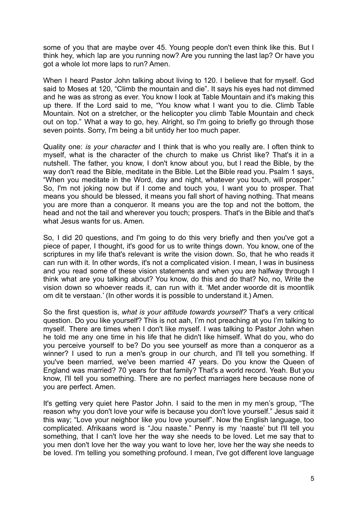some of you that are maybe over 45. Young people don't even think like this. But I think hey, which lap are you running now? Are you running the last lap? Or have you got a whole lot more laps to run? Amen.

When I heard Pastor John talking about living to 120. I believe that for myself. God said to Moses at 120, "Climb the mountain and die". It says his eyes had not dimmed and he was as strong as ever. You know I look at Table Mountain and it's making this up there. If the Lord said to me, "You know what I want you to die. Climb Table Mountain. Not on a stretcher, or the helicopter you climb Table Mountain and check out on top." What a way to go, hey. Alright, so I'm going to briefly go through those seven points. Sorry, I'm being a bit untidy her too much paper.

Quality one: *is your character* and I think that is who you really are. I often think to myself, what is the character of the church to make us Christ like? That's it in a nutshell. The father, you know, I don't know about you, but I read the Bible, by the way don't read the Bible, meditate in the Bible. Let the Bible read you. Psalm 1 says, "When you meditate in the Word, day and night, whatever you touch, will prosper." So, I'm not joking now but if I come and touch you, I want you to prosper. That means you should be blessed, it means you fall short of having nothing. That means you are more than a conqueror. It means you are the top and not the bottom, the head and not the tail and wherever you touch; prospers. That's in the Bible and that's what Jesus wants for us. Amen.

So, I did 20 questions, and I'm going to do this very briefly and then you've got a piece of paper, I thought, it's good for us to write things down. You know, one of the scriptures in my life that's relevant is write the vision down. So, that he who reads it can run with it. In other words, it's not a complicated vision. I mean, I was in business and you read some of these vision statements and when you are halfway through I think what are you talking about? You know, do this and do that? No, no, Write the vision down so whoever reads it, can run with it. 'Met ander woorde dit is moontlik om dit te verstaan.' (In other words it is possible to understand it.) Amen.

So the first question is, *what is your attitude towards yourself?* That's a very critical question. Do you like yourself? This is not aah, I'm not preaching at you I'm talking to myself. There are times when I don't like myself. I was talking to Pastor John when he told me any one time in his life that he didn't like himself. What do you, who do you perceive yourself to be? Do you see yourself as more than a conqueror as a winner? I used to run a men's group in our church, and I'll tell you something. If you've been married, we've been married 47 years. Do you know the Queen of England was married? 70 years for that family? That's a world record. Yeah. But you know, I'll tell you something. There are no perfect marriages here because none of you are perfect. Amen.

It's getting very quiet here Pastor John. I said to the men in my men's group, "The reason why you don't love your wife is because you don't love yourself." Jesus said it this way; "Love your neighbor like you love yourself". Now the English language, too complicated. Afrikaans word is "Jou naaste." Penny is my 'naaste' but I'll tell you something, that I can't love her the way she needs to be loved. Let me say that to you men don't love her the way you want to love her, love her the way she needs to be loved. I'm telling you something profound. I mean, I've got different love language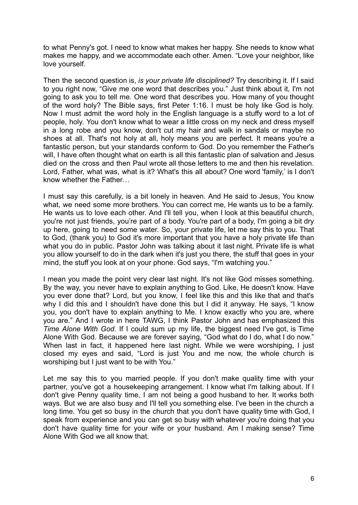to what Penny's got. I need to know what makes her happy. She needs to know what makes me happy, and we accommodate each other. Amen. "Love your neighbor, like love yourself.

Then the second question is, *is your private life disciplined?* Try describing it. If I said to you right now, "Give me one word that describes you." Just think about it, I'm not going to ask you to tell me. One word that describes you. How many of you thought of the word holy? The Bible says, first Peter 1:16. I must be holy like God is holy. Now I must admit the word holy in the English language is a stuffy word to a lot of people, holy. You don't know what to wear a little cross on my neck and dress myself in a long robe and you know, don't cut my hair and walk in sandals or maybe no shoes at all. That's not holy at all, holy means you are perfect. It means you're a fantastic person, but your standards conform to God. Do you remember the Father's will. I have often thought what on earth is all this fantastic plan of salvation and Jesus died on the cross and then Paul wrote all those letters to me and then his revelation. Lord, Father, what was, what is it? What's this all about? One word 'family,' is I don't know whether the Father…

I must say this carefully, is a bit lonely in heaven. And He said to Jesus, You know what, we need some more brothers. You can correct me, He wants us to be a family. He wants us to love each other. And I'll tell you, when I look at this beautiful church, you're not just friends, you're part of a body. You're part of a body, I'm going a bit dry up here, going to need some water. So, your private life, let me say this to you. That to God, (thank you) to God it's more important that you have a holy private life than what you do in public. Pastor John was talking about it last night. Private life is what you allow yourself to do in the dark when it's just you there, the stuff that goes in your mind, the stuff you look at on your phone. God says, "I'm watching you."

I mean you made the point very clear last night. It's not like God misses something. By the way, you never have to explain anything to God. Like, He doesn't know. Have you ever done that? Lord, but you know, I feel like this and this like that and that's why I did this and I shouldn't have done this but I did it anyway. He says, "I know you, you don't have to explain anything to Me. I know exactly who you are, where you are." And I wrote in here TAWG, I think Pastor John and has emphasized this *Time Alone With God.* If I could sum up my life, the biggest need I've got, is Time Alone With God. Because we are forever saying, "God what do I do, what I do now." When last in fact, it happened here last night. While we were worshiping, I just closed my eyes and said, "Lord is just You and me now, the whole church is worshiping but I just want to be with You."

Let me say this to you married people. If you don't make quality time with your partner, you've got a housekeeping arrangement. I know what I'm talking about. If I don't give Penny quality time, I am not being a good husband to her. It works both ways. But we are also busy and I'll tell you something else. I've been in the church a long time. You get so busy in the church that you don't have quality time with God, I speak from experience and you can get so busy with whatever you're doing that you don't have quality time for your wife or your husband. Am I making sense? Time Alone With God we all know that.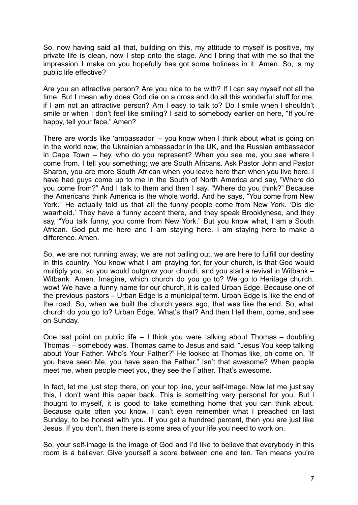So, now having said all that, building on this, my attitude to myself is positive, my private life is clean, now I step onto the stage. And I bring that with me so that the impression I make on you hopefully has got some holiness in it. Amen. So, is my public life effective?

Are you an attractive person? Are you nice to be with? If I can say myself not all the time. But I mean why does God die on a cross and do all this wonderful stuff for me, if I am not an attractive person? Am I easy to talk to? Do I smile when I shouldn't smile or when I don't feel like smiling? I said to somebody earlier on here, "If you're happy, tell your face." Amen?

There are words like 'ambassador' – you know when I think about what is going on in the world now, the Ukrainian ambassador in the UK, and the Russian ambassador in Cape Town – hey, who do you represent? When you see me, you see where I come from. I tell you something; we are South Africans. Ask Pastor John and Pastor Sharon, you are more South African when you leave here than when you live here. I have had guys come up to me in the South of North America and say, "Where do you come from?" And I talk to them and then I say, "Where do you think?" Because the Americans think America is the whole world. And he says, "You come from New York." He actually told us that all the funny people come from New York. 'Dis die waarheid.' They have a funny accent there, and they speak Brooklynese, and they say, "You talk funny, you come from New York." But you know what, I am a South African. God put me here and I am staying here. I am staying here to make a difference. Amen.

So, we are not running away, we are not bailing out, we are here to fulfill our destiny in this country. You know what I am praying for, for your church, is that God would multiply you, so you would outgrow your church, and you start a revival in Witbank – Witbank. Amen. Imagine, which church do you go to? We go to Heritage church, wow! We have a funny name for our church, it is called Urban Edge. Because one of the previous pastors – Urban Edge is a municipal term. Urban Edge is like the end of the road. So, when we built the church years ago, that was like the end. So, what church do you go to? Urban Edge. What's that? And then I tell them, come, and see on Sunday.

One last point on public life – I think you were talking about Thomas – doubting Thomas – somebody was. Thomas came to Jesus and said, "Jesus You keep talking about Your Father. Who's Your Father?" He looked at Thomas like, oh come on, "If you have seen Me, you have seen the Father." Isn't that awesome? When people meet me, when people meet you, they see the Father. That's awesome.

In fact, let me just stop there, on your top line, your self-image. Now let me just say this, I don't want this paper back. This is something very personal for you. But I thought to myself, it is good to take something home that you can think about. Because quite often you know, I can't even remember what I preached on last Sunday, to be honest with you. If you get a hundred percent, then you are just like Jesus. If you don't, then there is some area of your life you need to work on.

So, your self-image is the image of God and I'd like to believe that everybody in this room is a believer. Give yourself a score between one and ten. Ten means you're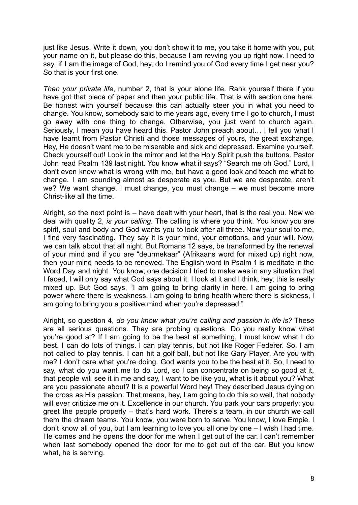just like Jesus. Write it down, you don't show it to me, you take it home with you, put your name on it, but please do this, because I am revving you up right now. I need to say, if I am the image of God, hey, do I remind you of God every time I get near you? So that is your first one.

*Then your private life*, number 2, that is your alone life. Rank yourself there if you have got that piece of paper and then your public life. That is with section one here. Be honest with yourself because this can actually steer you in what you need to change. You know, somebody said to me years ago, every time I go to church, I must go away with one thing to change. Otherwise, you just went to church again. Seriously, I mean you have heard this. Pastor John preach about… I tell you what I have learnt from Pastor Christi and those messages of yours, the great exchange. Hey, He doesn't want me to be miserable and sick and depressed. Examine yourself. Check yourself out! Look in the mirror and let the Holy Spirit push the buttons. Pastor John read Psalm 139 last night. You know what it says? "Search me oh God." Lord, I don't even know what is wrong with me, but have a good look and teach me what to change. I am sounding almost as desperate as you. But we are desperate, aren't we? We want change. I must change, you must change – we must become more Christ-like all the time.

Alright, so the next point is – have dealt with your heart, that is the real you. Now we deal with quality 2, *is your calling*. The calling is where you think. You know you are spirit, soul and body and God wants you to look after all three. Now your soul to me, I find very fascinating. They say it is your mind, your emotions, and your will. Now, we can talk about that all night. But Romans 12 says, be transformed by the renewal of your mind and if you are "deurmekaar" (Afrikaans word for mixed up) right now, then your mind needs to be renewed. The English word in Psalm 1 is meditate in the Word Day and night. You know, one decision I tried to make was in any situation that I faced, I will only say what God says about it. I look at it and I think, hey, this is really mixed up. But God says, "I am going to bring clarity in here. I am going to bring power where there is weakness. I am going to bring health where there is sickness, I am going to bring you a positive mind when you're depressed."

Alright, so question 4, *do you know what you're calling and passion in life is?* These are all serious questions. They are probing questions. Do you really know what you're good at? If I am going to be the best at something, I must know what I do best. I can do lots of things. I can play tennis, but not like Roger Federer. So, I am not called to play tennis. I can hit a golf ball, but not like Gary Player. Are you with me? I don't care what you're doing. God wants you to be the best at it. So, I need to say, what do you want me to do Lord, so I can concentrate on being so good at it, that people will see it in me and say, I want to be like you, what is it about you? What are you passionate about? It is a powerful Word hey! They described Jesus dying on the cross as His passion. That means, hey, I am going to do this so well, that nobody will ever criticize me on it. Excellence in our church. You park your cars properly; you greet the people properly – that's hard work. There's a team, in our church we call them the dream teams. You know, you were born to serve. You know, I love Empie. I don't know all of you, but I am learning to love you all one by one – I wish I had time. He comes and he opens the door for me when I get out of the car. I can't remember when last somebody opened the door for me to get out of the car. But you know what, he is serving.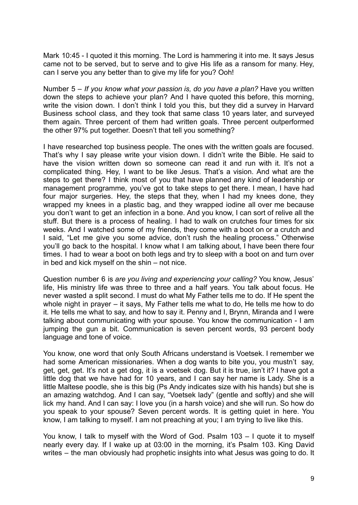Mark 10:45 - I quoted it this morning. The Lord is hammering it into me. It says Jesus came not to be served, but to serve and to give His life as a ransom for many. Hey, can I serve you any better than to give my life for you? Ooh!

Number 5 – *If you know what your passion is, do you have a plan?* Have you written down the steps to achieve your plan? And I have quoted this before, this morning, write the vision down. I don't think I told you this, but they did a survey in Harvard Business school class, and they took that same class 10 years later, and surveyed them again. Three percent of them had written goals. Three percent outperformed the other 97% put together. Doesn't that tell you something?

I have researched top business people. The ones with the written goals are focused. That's why I say please write your vision down. I didn't write the Bible. He said to have the vision written down so someone can read it and run with it. It's not a complicated thing. Hey, I want to be like Jesus. That's a vision. And what are the steps to get there? I think most of you that have planned any kind of leadership or management programme, you've got to take steps to get there. I mean, I have had four major surgeries. Hey, the steps that they, when I had my knees done, they wrapped my knees in a plastic bag, and they wrapped iodine all over me because you don't want to get an infection in a bone. And you know, I can sort of relive all the stuff. But there is a process of healing. I had to walk on crutches four times for six weeks. And I watched some of my friends, they come with a boot on or a crutch and I said, "Let me give you some advice, don't rush the healing process." Otherwise you'll go back to the hospital. I know what I am talking about, I have been there four times. I had to wear a boot on both legs and try to sleep with a boot on and turn over in bed and kick myself on the shin – not nice.

Question number 6 is *are you living and experiencing your calling?* You know, Jesus' life, His ministry life was three to three and a half years. You talk about focus. He never wasted a split second. I must do what My Father tells me to do. If He spent the whole night in prayer – it says, My Father tells me what to do, He tells me how to do it. He tells me what to say, and how to say it. Penny and I, Brynn, Miranda and I were talking about communicating with your spouse. You know the communication - I am jumping the gun a bit. Communication is seven percent words, 93 percent body language and tone of voice.

You know, one word that only South Africans understand is Voetsek. I remember we had some American missionaries. When a dog wants to bite you, you mustn't say, get, get, get. It's not a get dog, it is a voetsek dog. But it is true, isn't it? I have got a little dog that we have had for 10 years, and I can say her name is Lady. She is a little Maltese poodle, she is this big (Ps Andy indicates size with his hands) but she is an amazing watchdog. And I can say, "Voetsek lady" (gentle and softly) and she will lick my hand. And I can say: I love you (in a harsh voice) and she will run. So how do you speak to your spouse? Seven percent words. It is getting quiet in here. You know, I am talking to myself. I am not preaching at you; I am trying to live like this.

You know, I talk to myself with the Word of God. Psalm 103 – I quote it to myself nearly every day. If I wake up at 03:00 in the morning, it's Psalm 103. King David writes – the man obviously had prophetic insights into what Jesus was going to do. It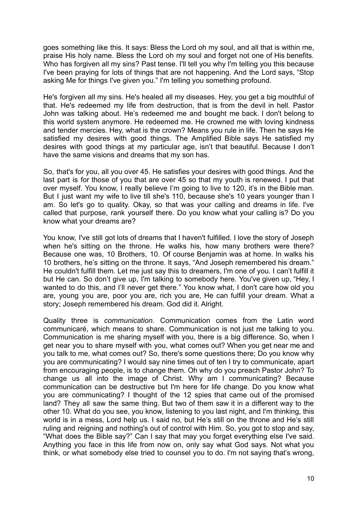goes something like this. It says: Bless the Lord oh my soul, and all that is within me, praise His holy name. Bless the Lord oh my soul and forget not one of His benefits. Who has forgiven all my sins? Past tense. I'll tell you why I'm telling you this because I've been praying for lots of things that are not happening. And the Lord says, "Stop asking Me for things I've given you." I'm telling you something profound.

He's forgiven all my sins. He's healed all my diseases. Hey, you get a big mouthful of that. He's redeemed my life from destruction, that is from the devil in hell. Pastor John was talking about. He's redeemed me and bought me back. I don't belong to this world system anymore. He redeemed me. He crowned me with loving kindness and tender mercies. Hey, what is the crown? Means you rule in life. Then he says He satisfied my desires with good things. The Amplified Bible says He satisfied my desires with good things at my particular age, isn't that beautiful. Because I don't have the same visions and dreams that my son has.

So, that's for you, all you over 45. He satisfies your desires with good things. And the last part is for those of you that are over 45 so that my youth is renewed. I put that over myself. You know, I really believe I'm going to live to 120, it's in the Bible man. But I just want my wife to live till she's 110, because she's 10 years younger than I am. So let's go to quality. Okay, so that was your calling and dreams in life. I've called that purpose, rank yourself there. Do you know what your calling is? Do you know what your dreams are?

You know, I've still got lots of dreams that I haven't fulfilled. I love the story of Joseph when he's sitting on the throne. He walks his, how many brothers were there? Because one was, 10 Brothers, 10. Of course Benjamin was at home. In walks his 10 brothers, he's sitting on the throne. It says, "And Joseph remembered his dream." He couldn't fulfill them. Let me just say this to dreamers, I'm one of you. I can't fulfill it but He can. So don't give up, I'm talking to somebody here. You've given up, "Hey, I wanted to do this, and I'll never get there." You know what, I don't care how old you are, young you are, poor you are, rich you are, He can fulfill your dream. What a story; Joseph remembered his dream. God did it. Alright.

Quality three is *communication.* Communication comes from the Latin word communicaré, which means to share. Communication is not just me talking to you. Communication is me sharing myself with you, there is a big difference. So, when I get near you to share myself with you, what comes out? When you get near me and you talk to me, what comes out? So, there's some questions there; Do you know why you are communicating? I would say nine times out of ten I try to communicate, apart from encouraging people, is to change them. Oh why do you preach Pastor John? To change us all into the image of Christ. Why am I communicating? Because communication can be destructive but I'm here for life change. Do you know what you are communicating? I thought of the 12 spies that came out of the promised land? They all saw the same thing. But two of them saw it in a different way to the other 10. What do you see, you know, listening to you last night, and I'm thinking, this world is in a mess, Lord help us. I said no, but He's still on the throne and He's still ruling and reigning and nothing's out of control with Him. So, you got to stop and say, "What does the Bible say?" Can I say that may you forget everything else I've said. Anything you face in this life from now on, only say what God says. Not what you think, or what somebody else tried to counsel you to do. I'm not saying that's wrong,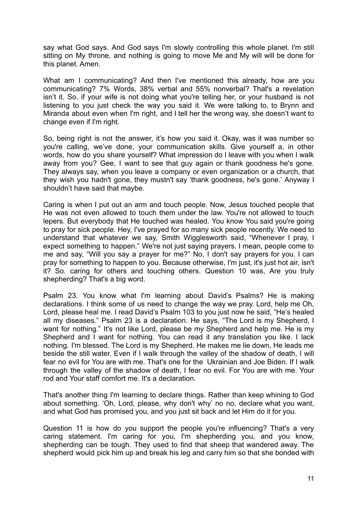say what God says. And God says I'm slowly controlling this whole planet. I'm still sitting on My throne, and nothing is going to move Me and My will will be done for this planet. Amen.

What am I communicating? And then I've mentioned this already, how are you communicating? 7% Words, 38% verbal and 55% nonverbal? That's a revelation isn't it. So. if your wife is not doing what you're telling her, or your husband is not listening to you just check the way you said it. We were talking to, to Brynn and Miranda about even when I'm right, and I tell her the wrong way, she doesn't want to change even if I'm right.

So, being right is not the answer, it's how you said it. Okay, was it was number so you're calling, we've done, your communication skills. Give yourself a, in other words, how do you share yourself? What impression do I leave with you when I walk away from you? Gee, I want to see that guy again or thank goodness he's gone. They always say, when you leave a company or even organization or a church, that they wish you hadn't gone, they mustn't say 'thank goodness, he's gone.' Anyway I shouldn't have said that maybe.

Caring is when I put out an arm and touch people. Now, Jesus touched people that He was not even allowed to touch them under the law. You're not allowed to touch lepers. But everybody that He touched was healed. You know You said you're going to pray for sick people. Hey, I've prayed for so many sick people recently. We need to understand that whatever we say, Smith Wigglesworth said, "Whenever I pray, I expect something to happen." We're not just saying prayers. I mean, people come to me and say, "Will you say a prayer for me?" No, I don't say prayers for you. I can pray for something to happen to you. Because otherwise, I'm just, it's just hot air, isn't it? So. caring for others and touching others. Question 10 was, Are you truly shepherding? That's a big word.

Psalm 23. You know what I'm learning about David's Psalms? He is making declarations. I think some of us need to change the way we pray. Lord, help me Oh, Lord, please heal me. I read David's Psalm 103 to you just now he said, "He's healed all my diseases." Psalm 23 is a declaration. He says, "The Lord is my Shepherd, I want for nothing." It's not like Lord, please be my Shepherd and help me. He is my Shepherd and I want for nothing. You can read it any translation you like. I lack nothing. I'm blessed. The Lord is my Shepherd. He makes me lie down, He leads me beside the still water. Even if I walk through the valley of the shadow of death, I will fear no evil for You are with me. That's one for the Ukrainian and Joe Biden. If I walk through the valley of the shadow of death, I fear no evil. For You are with me. Your rod and Your staff comfort me. It's a declaration.

That's another thing I'm learning to declare things. Rather than keep whining to God about something. 'Oh, Lord, please, why don't why' no no, declare what you want, and what God has promised you, and you just sit back and let Him do it for you.

Question 11 is how do you support the people you're influencing? That's a very caring statement. I'm caring for you, I'm shepherding you, and you know, shepherding can be tough. They used to find that sheep that wandered away. The shepherd would pick him up and break his leg and carry him so that she bonded with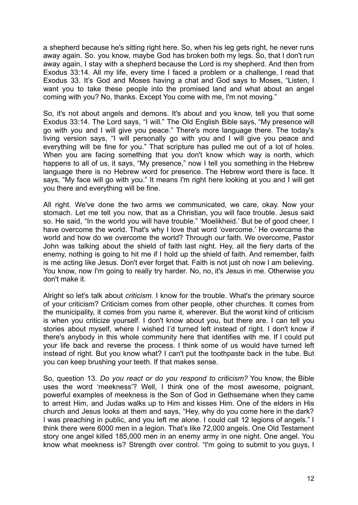a shepherd because he's sitting right here. So, when his leg gets right, he never runs away again. So. you know, maybe God has broken both my legs. So, that I don't run away again, I stay with a shepherd because the Lord is my shepherd. And then from Exodus 33:14. All my life, every time I faced a problem or a challenge, I read that Exodus 33. It's God and Moses having a chat and God says to Moses, "Listen, I want you to take these people into the promised land and what about an angel coming with you? No, thanks. Except You come with me, I'm not moving."

So, it's not about angels and demons. It's about and you know, tell you that some Exodus 33:14. The Lord says, "I will." The Old English Bible says, "My presence will go with you and I will give you peace." There's more language there. The today's living version says, "I will personally go with you and I will give you peace and everything will be fine for you." That scripture has pulled me out of a lot of holes. When you are facing something that you don't know which way is north, which happens to all of us, it says, "My presence," now I tell you something in the Hebrew language there is no Hebrew word for presence. The Hebrew word there is face. It says, "My face will go with you." It means I'm right here looking at you and I will get you there and everything will be fine.

All right. We've done the two arms we communicated, we care, okay. Now your stomach. Let me tell you now, that as a Christian, you will face trouble. Jesus said so. He said, "In the world you will have trouble." 'Moelikheid.' But be of good cheer, I have overcome the world. That's why I love that word 'overcome.' He overcame the world and how do we overcome the world? Through our faith. We overcome, Pastor John was talking about the shield of faith last night. Hey, all the fiery darts of the enemy, nothing is going to hit me if I hold up the shield of faith. And remember, faith is me acting like Jesus. Don't ever forget that. Faith is not just oh now I am believing. You know, now I'm going to really try harder. No, no, it's Jesus in me. Otherwise you don't make it.

Alright so let's talk about *criticism.* I know for the trouble. What's the primary source of your criticism? Criticism comes from other people, other churches. It comes from the municipality, it comes from you name it, wherever. But the worst kind of criticism is when you criticize yourself. I don't know about you, but there are. I can tell you stories about myself, where I wished I'd turned left instead of right. I don't know if there's anybody in this whole community here that identifies with me. If I could put your life back and reverse the process. I think some of us would have turned left instead of right. But you know what? I can't put the toothpaste back in the tube. But you can keep brushing your teeth. If that makes sense.

So, question 13. *Do you react or do you respond to criticism?* You know, the Bible uses the word 'meekness'? Well, I think one of the most awesome, poignant, powerful examples of meekness is the Son of God in Gethsemane when they came to arrest Him, and Judas walks up to Him and kisses Him. One of the elders in His church and Jesus looks at them and says, "Hey, why do you come here in the dark? I was preaching in public, and you left me alone. I could call 12 legions of angels." I think there were 6000 men in a legion. That's like 72,000 angels. One Old Testament story one angel killed 185,000 men in an enemy army in one night. One angel. You know what meekness is? Strength over control. "I'm going to submit to you guys, I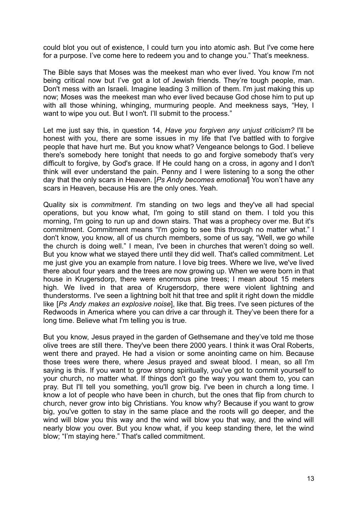could blot you out of existence, I could turn you into atomic ash. But I've come here for a purpose. I've come here to redeem you and to change you." That's meekness.

The Bible says that Moses was the meekest man who ever lived. You know I'm not being critical now but I've got a lot of Jewish friends. They're tough people, man. Don't mess with an Israeli. Imagine leading 3 million of them. I'm just making this up now; Moses was the meekest man who ever lived because God chose him to put up with all those whining, whinging, murmuring people. And meekness says, "Hey, I want to wipe you out. But I won't. I'll submit to the process."

Let me just say this, in question 14, *Have you forgiven any unjust criticism?* I'll be honest with you, there are some issues in my life that I've battled with to forgive people that have hurt me. But you know what? Vengeance belongs to God. I believe there's somebody here tonight that needs to go and forgive somebody that's very difficult to forgive, by God's grace. If He could hang on a cross, in agony and I don't think will ever understand the pain. Penny and I were listening to a song the other day that the only scars in Heaven. [*Ps Andy becomes emotional*] You won't have any scars in Heaven, because His are the only ones. Yeah.

Quality six is *commitment*. I'm standing on two legs and they've all had special operations, but you know what, I'm going to still stand on them. I told you this morning, I'm going to run up and down stairs. That was a prophecy over me. But it's commitment. Commitment means "I'm going to see this through no matter what." I don't know, you know, all of us church members, some of us say, "Well, we go while the church is doing well." I mean, I've been in churches that weren't doing so well. But you know what we stayed there until they did well. That's called commitment. Let me just give you an example from nature. I love big trees. Where we live, we've lived there about four years and the trees are now growing up. When we were born in that house in Krugersdorp, there were enormous pine trees; I mean about 15 meters high. We lived in that area of Krugersdorp, there were violent lightning and thunderstorms. I've seen a lightning bolt hit that tree and split it right down the middle like [*Ps Andy makes an explosive noise*], like that. Big trees. I've seen pictures of the Redwoods in America where you can drive a car through it. They've been there for a long time. Believe what I'm telling you is true.

But you know, Jesus prayed in the garden of Gethsemane and they've told me those olive trees are still there. They've been there 2000 years. I think it was Oral Roberts, went there and prayed. He had a vision or some anointing came on him. Because those trees were there, where Jesus prayed and sweat blood. I mean, so all I'm saying is this. If you want to grow strong spiritually, you've got to commit yourself to your church, no matter what. If things don't go the way you want them to, you can pray. But I'll tell you something, you'll grow big. I've been in church a long time. I know a lot of people who have been in church, but the ones that flip from church to church, never grow into big Christians. You know why? Because if you want to grow big, you've gotten to stay in the same place and the roots will go deeper, and the wind will blow you this way and the wind will blow you that way, and the wind will nearly blow you over. But you know what, if you keep standing there, let the wind blow; "I'm staying here." That's called commitment.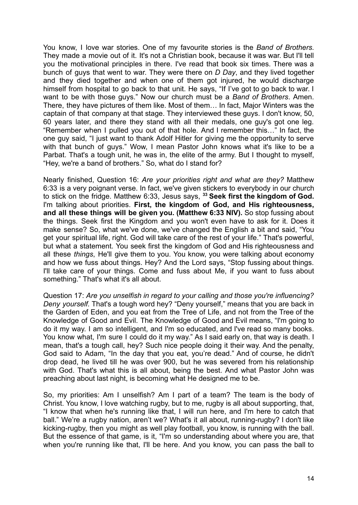You know, I love war stories. One of my favourite stories is the *Band of Brothers.* They made a movie out of it. It's not a Christian book, because it was war. But I'll tell you the motivational principles in there. I've read that book six times. There was a bunch of guys that went to war. They were there on *D Day*, and they lived together and they died together and when one of them got injured, he would discharge himself from hospital to go back to that unit. He says, "If I've got to go back to war. I want to be with those guys." Now our church must be a *Band of Brothers*. Amen. There, they have pictures of them like. Most of them… In fact, Major Winters was the captain of that company at that stage. They interviewed these guys. I don't know, 50, 60 years later, and there they stand with all their medals, one guy's got one leg. "Remember when I pulled you out of that hole. And I remember this…" In fact, the one guy said, "I just want to thank Adolf Hitler for giving me the opportunity to serve with that bunch of guys." Wow, I mean Pastor John knows what it's like to be a Parbat. That's a tough unit, he was in, the elite of the army. But I thought to myself, "Hey, we're a band of brothers." So, what do I stand for?

Nearly finished, Question 16: *Are your priorities right and what are they?* Matthew 6:33 is a very poignant verse. In fact, we've given stickers to everybody in our church to stick on the fridge. Matthew 6:33, Jesus says, **<sup>33</sup> Seek first the kingdom of God.** I'm talking about priorities. **First, the kingdom of God, and His righteousness, and all these things will be given you. (Matthew 6:33 NIV).** So stop fussing about the things. Seek first the Kingdom and you won't even have to ask for it. Does it make sense? So, what we've done, we've changed the English a bit and said, "You get your spiritual life, right. God will take care of the rest of your life." That's powerful, but what a statement. You seek first the kingdom of God and His righteousness and all these *things*, He'll give them to you. You know, you were talking about economy and how we fuss about things. Hey? And the Lord says, "Stop fussing about things. I'll take care of your things. Come and fuss about Me, if you want to fuss about something." That's what it's all about.

Question 17: *Are you unselfish in regard to your calling and those you're influencing? Deny yourself.* That's a tough word hey? "Deny yourself," means that you are back in the Garden of Eden, and you eat from the Tree of Life, and not from the Tree of the Knowledge of Good and Evil. The Knowledge of Good and Evil means, "I'm going to do it my way. I am so intelligent, and I'm so educated, and I've read so many books. You know what, I'm sure I could do it my way." As I said early on, that way is death. I mean, that's a tough call, hey? Such nice people doing it their way. And the penalty, God said to Adam, "In the day that you eat, you're dead." And of course, he didn't drop dead, he lived till he was over 900, but he was severed from his relationship with God. That's what this is all about, being the best. And what Pastor John was preaching about last night, is becoming what He designed me to be.

So, my priorities: Am I unselfish? Am I part of a team? The team is the body of Christ. You know, I love watching rugby, but to me, rugby is all about supporting, that, "I know that when he's running like that, I will run here, and I'm here to catch that ball." We're a rugby nation, aren't we? What's it all about, running-rugby? I don't like kicking-rugby, then you might as well play football, you know, is running with the ball. But the essence of that game, is it, "I'm so understanding about where you are, that when you're running like that, I'll be here. And you know, you can pass the ball to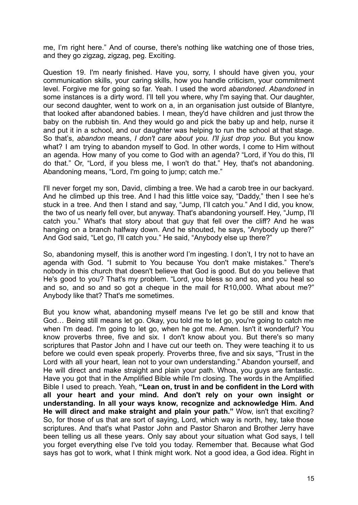me, I'm right here." And of course, there's nothing like watching one of those tries, and they go zigzag, zigzag, peg. Exciting.

Question 19. I'm nearly finished. Have you, sorry, I should have given you, your communication skills, your caring skills, how you handle criticism, your commitment level. Forgive me for going so far. Yeah. I used the word *abandoned*. *Abandoned* in some instances is a dirty word. I'll tell you where, why I'm saying that. Our daughter, our second daughter, went to work on a, in an organisation just outside of Blantyre, that looked after abandoned babies. I mean, they'd have children and just throw the baby on the rubbish tin. And they would go and pick the baby up and help, nurse it and put it in a school, and our daughter was helping to run the school at that stage. So that's, *abandon* means, *I don't care about you. I'll just drop you.* But you know what? I am trying to abandon myself to God. In other words, I come to Him without an agenda. How many of you come to God with an agenda? "Lord, if You do this, I'll do that." Or, "Lord, if you bless me, I won't do that." Hey, that's not abandoning. Abandoning means, "Lord, I'm going to jump; catch me."

I'll never forget my son, David, climbing a tree. We had a carob tree in our backyard. And he climbed up this tree. And I had this little voice say, "Daddy," then I see he's stuck in a tree. And then I stand and say, "Jump, I'll catch you." And I did, you know, the two of us nearly fell over, but anyway. That's abandoning yourself. Hey, "Jump, I'll catch you." What's that story about that guy that fell over the cliff? And he was hanging on a branch halfway down. And he shouted, he says, "Anybody up there?" And God said, "Let go, I'll catch you." He said, "Anybody else up there?"

So, abandoning myself, this is another word I'm ingesting. I don't, I try not to have an agenda with God. "I submit to You because You don't make mistakes." There's nobody in this church that doesn't believe that God is good. But do you believe that He's good to you? That's my problem. "Lord, you bless so and so, and you heal so and so, and so and so got a cheque in the mail for R10,000. What about me?" Anybody like that? That's me sometimes.

But you know what, abandoning myself means I've let go be still and know that God… Being still means let go. Okay, you told me to let go, you're going to catch me when I'm dead. I'm going to let go, when he got me. Amen. Isn't it wonderful? You know proverbs three, five and six. I don't know about you. But there's so many scriptures that Pastor John and I have cut our teeth on. They were teaching it to us before we could even speak properly. Proverbs three, five and six says, "Trust in the Lord with all your heart, lean not to your own understanding." Abandon yourself, and He will direct and make straight and plain your path. Whoa, you guys are fantastic. Have you got that in the Amplified Bible while I'm closing. The words in the Amplified Bible I used to preach. Yeah, **"Lean on, trust in and be confident in the Lord with all your heart and your mind. And don't rely on your own insight or understanding. In all your ways know, recognize and acknowledge Him. And He will direct and make straight and plain your path."** Wow, isn't that exciting? So, for those of us that are sort of saying, Lord, which way is north, hey, take those scriptures. And that's what Pastor John and Pastor Sharon and Brother Jerry have been telling us all these years. Only say about your situation what God says, I tell you forget everything else I've told you today. Remember that. Because what God says has got to work, what I think might work. Not a good idea, a God idea. Right in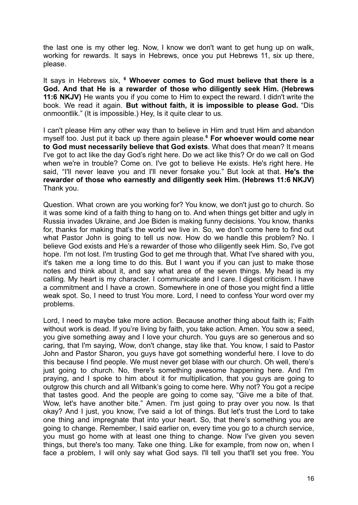the last one is my other leg. Now, I know we don't want to get hung up on walk, working for rewards. It says in Hebrews, once you put Hebrews 11, six up there, please.

It says in Hebrews six, **<sup>6</sup> Whoever comes to God must believe that there is a God. And that He is a rewarder of those who diligently seek Him. (Hebrews 11:6 NKJV)** He wants you if you come to Him to expect the reward. I didn't write the book. We read it again. **But without faith, it is impossible to please God.** "Dis onmoontlik." (It is impossible.) Hey, Is it quite clear to us.

I can't please Him any other way than to believe in Him and trust Him and abandon myself too. Just put it back up there again please.**<sup>6</sup> For whoever would come near to God must necessarily believe that God exists**. What does that mean? It means I've got to act like the day God's right here. Do we act like this? Or do we call on God when we're in trouble? Come on. I've got to believe He exists. He's right here. He said, "I'll never leave you and I'll never forsake you." But look at that. **He's the rewarder of those who earnestly and diligently seek Him. (Hebrews 11:6 NKJV)** Thank you.

Question. What crown are you working for? You know, we don't just go to church. So it was some kind of a faith thing to hang on to. And when things get bitter and ugly in Russia invades Ukraine, and Joe Biden is making funny decisions. You know, thanks for, thanks for making that's the world we live in. So, we don't come here to find out what Pastor John is going to tell us now. How do we handle this problem? No. I believe God exists and He's a rewarder of those who diligently seek Him. So, I've got hope. I'm not lost. I'm trusting God to get me through that. What I've shared with you, it's taken me a long time to do this. But I want you if you can just to make those notes and think about it, and say what area of the seven things. My head is my calling. My heart is my character. I communicate and I care. I digest criticism. I have a commitment and I have a crown. Somewhere in one of those you might find a little weak spot. So, I need to trust You more. Lord, I need to confess Your word over my problems.

Lord, I need to maybe take more action. Because another thing about faith is; Faith without work is dead. If you're living by faith, you take action. Amen. You sow a seed, you give something away and I love your church. You guys are so generous and so caring, that I'm saying, Wow, don't change, stay like that. You know, I said to Pastor John and Pastor Sharon, you guys have got something wonderful here. I love to do this because I find people. We must never get blase with our church. Oh well, there's just going to church. No, there's something awesome happening here. And I'm praying, and I spoke to him about it for multiplication, that you guys are going to outgrow this church and all Witbank's going to come here. Why not? You got a recipe that tastes good. And the people are going to come say, "Give me a bite of that. Wow, let's have another bite." Amen. I'm just going to pray over you now. Is that okay? And I just, you know, I've said a lot of things. But let's trust the Lord to take one thing and impregnate that into your heart. So, that there's something you are going to change. Remember, I said earlier on, every time you go to a church service, you must go home with at least one thing to change. Now I've given you seven things, but there's too many. Take one thing. Like for example, from now on, when I face a problem, I will only say what God says. I'll tell you that'll set you free. You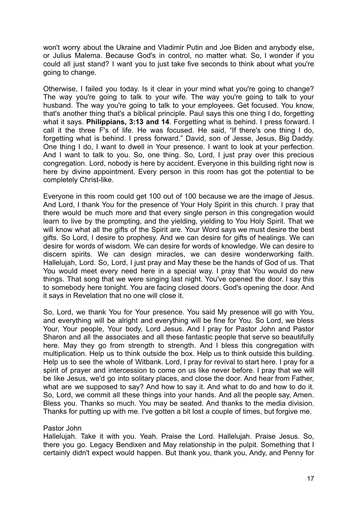won't worry about the Ukraine and Vladimir Putin and Joe Biden and anybody else, or Julius Malema. Because God's in control, no matter what. So, I wonder if you could all just stand? I want you to just take five seconds to think about what you're going to change.

Otherwise, I failed you today. Is it clear in your mind what you're going to change? The way you're going to talk to your wife. The way you're going to talk to your husband. The way you're going to talk to your employees. Get focused. You know, that's another thing that's a biblical principle. Paul says this one thing I do, forgetting what it says. **Philippians, 3:13 and 14**. Forgetting what is behind. I press forward. I call it the three F's of life. He was focused. He said, "If there's one thing I do, forgetting what is behind. I press forward." David, son of Jesse, Jesus, Big Daddy. One thing I do, I want to dwell in Your presence. I want to look at your perfection. And I want to talk to you. So, one thing. So, Lord, I just pray over this precious congregation. Lord, nobody is here by accident. Everyone in this building right now is here by divine appointment. Every person in this room has got the potential to be completely Christ-like.

Everyone in this room could get 100 out of 100 because we are the image of Jesus. And Lord, I thank You for the presence of Your Holy Spirit in this church. I pray that there would be much more and that every single person in this congregation would learn to live by the prompting, and the yielding, yielding to You Holy Spirit. That we will know what all the gifts of the Spirit are. Your Word says we must desire the best gifts. So Lord, I desire to prophesy. And we can desire for gifts of healings. We can desire for words of wisdom. We can desire for words of knowledge. We can desire to discern spirits. We can design miracles, we can desire wonderworking faith. Hallelujah, Lord. So, Lord, I just pray and May these be the hands of God of us. That You would meet every need here in a special way. I pray that You would do new things. That song that we were singing last night. You've opened the door. I say this to somebody here tonight. You are facing closed doors. God's opening the door. And it says in Revelation that no one will close it.

So, Lord, we thank You for Your presence. You said My presence will go with You, and everything will be alright and everything will be fine for You. So Lord, we bless Your, Your people, Your body, Lord Jesus. And I pray for Pastor John and Pastor Sharon and all the associates and all these fantastic people that serve so beautifully here. May they go from strength to strength. And I bless this congregation with multiplication. Help us to think outside the box. Help us to think outside this building. Help us to see the whole of Witbank. Lord, I pray for revival to start here. I pray for a spirit of prayer and intercession to come on us like never before. I pray that we will be like Jesus, we'd go into solitary places, and close the door. And hear from Father, what are we supposed to say? And how to say it. And what to do and how to do it. So, Lord, we commit all these things into your hands. And all the people say, Amen. Bless you. Thanks so much. You may be seated. And thanks to the media division. Thanks for putting up with me. I've gotten a bit lost a couple of times, but forgive me.

## Pastor John

Hallelujah. Take it with you. Yeah. Praise the Lord. Hallelujah. Praise Jesus. So, there you go. Legacy Bendixen and May relationship in the pulpit. Something that I certainly didn't expect would happen. But thank you, thank you, Andy, and Penny for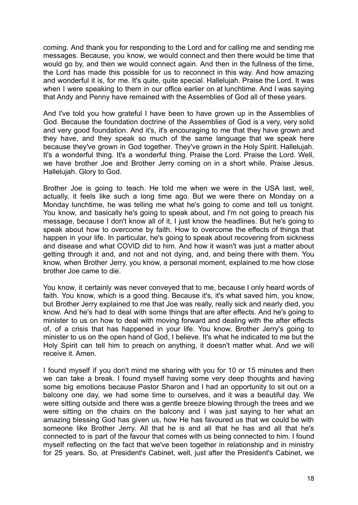coming. And thank you for responding to the Lord and for calling me and sending me messages. Because, you know, we would connect and then there would be time that would go by, and then we would connect again. And then in the fullness of the time, the Lord has made this possible for us to reconnect in this way. And how amazing and wonderful it is, for me. It's quite, quite special. Hallelujah. Praise the Lord. It was when I were speaking to them in our office earlier on at lunchtime. And I was saying that Andy and Penny have remained with the Assemblies of God all of these years.

And I've told you how grateful I have been to have grown up in the Assemblies of God. Because the foundation doctrine of the Assemblies of God is a very, very solid and very good foundation. And it's, it's encouraging to me that they have grown and they have, and they speak so much of the same language that we speak here because they've grown in God together. They've grown in the Holy Spirit. Hallelujah. It's a wonderful thing. It's a wonderful thing. Praise the Lord. Praise the Lord. Well, we have brother Joe and Brother Jerry coming on in a short while. Praise Jesus. Hallelujah. Glory to God.

Brother Joe is going to teach. He told me when we were in the USA last, well, actually, it feels like such a long time ago. But we were there on Monday on a Monday lunchtime, he was telling me what he's going to come and tell us tonight. You know, and basically he's going to speak about, and I'm not going to preach his message, because I don't know all of it, I just know the headlines. But he's going to speak about how to overcome by faith. How to overcome the effects of things that happen in your life. In particular, he's going to speak about recovering from sickness and disease and what COVID did to him. And how it wasn't was just a matter about getting through it and, and not and not dying, and, and being there with them. You know, when Brother Jerry, you know, a personal moment, explained to me how close brother Joe came to die.

You know, it certainly was never conveyed that to me, because I only heard words of faith. You know, which is a good thing. Because it's, it's what saved him, you know, but Brother Jerry explained to me that Joe was really, really sick and nearly died, you know. And he's had to deal with some things that are after effects. And he's going to minister to us on how to deal with moving forward and dealing with the after effects of, of a crisis that has happened in your life. You know, Brother Jerry's going to minister to us on the open hand of God, I believe. It's what he indicated to me but the Holy Spirit can tell him to preach on anything, it doesn't matter what. And we will receive it. Amen.

I found myself if you don't mind me sharing with you for 10 or 15 minutes and then we can take a break. I found myself having some very deep thoughts and having some big emotions because Pastor Sharon and I had an opportunity to sit out on a balcony one day, we had some time to ourselves, and it was a beautiful day. We were sitting outside and there was a gentle breeze blowing through the trees and we were sitting on the chairs on the balcony and I was just saying to her what an amazing blessing God has given us, how He has favoured us that we could be with someone like Brother Jerry. All that he is and all that he has and all that he's connected to is part of the favour that comes with us being connected to him. I found myself reflecting on the fact that we've been together in relationship and in ministry for 25 years. So, at President's Cabinet, well, just after the President's Cabinet, we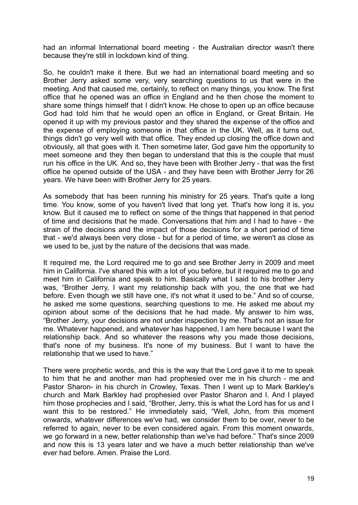had an informal International board meeting - the Australian director wasn't there because they're still in lockdown kind of thing.

So, he couldn't make it there. But we had an international board meeting and so Brother Jerry asked some very, very searching questions to us that were in the meeting. And that caused me, certainly, to reflect on many things, you know. The first office that he opened was an office in England and he then chose the moment to share some things himself that I didn't know. He chose to open up an office because God had told him that he would open an office in England, or Great Britain. He opened it up with my previous pastor and they shared the expense of the office and the expense of employing someone in that office in the UK. Well, as it turns out, things didn't go very well with that office. They ended up closing the office down and obviously, all that goes with it. Then sometime later, God gave him the opportunity to meet someone and they then began to understand that this is the couple that must run his office in the UK. And so, they have been with Brother Jerry - that was the first office he opened outside of the USA - and they have been with Brother Jerry for 26 years. We have been with Brother Jerry for 25 years.

As somebody that has been running his ministry for 25 years. That's quite a long time. You know, some of you haven't lived that long yet. That's how long it is, you know. But it caused me to reflect on some of the things that happened in that period of time and decisions that he made. Conversations that him and I had to have - the strain of the decisions and the impact of those decisions for a short period of time that - we'd always been very close - but for a period of time, we weren't as close as we used to be, just by the nature of the decisions that was made.

It required me, the Lord required me to go and see Brother Jerry in 2009 and meet him in California. I've shared this with a lot of you before, but it required me to go and meet him in California and speak to him. Basically what I said to his brother Jerry was, "Brother Jerry, I want my relationship back with you, the one that we had before. Even though we still have one, it's not what it used to be." And so of course, he asked me some questions, searching questions to me. He asked me about my opinion about some of the decisions that he had made. My answer to him was, "Brother Jerry, your decisions are not under inspection by me. That's not an issue for me. Whatever happened, and whatever has happened, I am here because I want the relationship back. And so whatever the reasons why you made those decisions, that's none of my business. It's none of my business. But I want to have the relationship that we used to have."

There were prophetic words, and this is the way that the Lord gave it to me to speak to him that he and another man had prophesied over me in his church - me and Pastor Sharon- in his church in Crowley, Texas. Then I went up to Mark Barkley's church and Mark Barkley had prophesied over Pastor Sharon and I. And I played him those prophecies and I said, "Brother, Jerry, this is what the Lord has for us and I want this to be restored." He immediately said, "Well, John, from this moment onwards, whatever differences we've had, we consider them to be over, never to be referred to again, never to be even considered again. From this moment onwards, we go forward in a new, better relationship than we've had before." That's since 2009 and now this is 13 years later and we have a much better relationship than we've ever had before. Amen. Praise the Lord.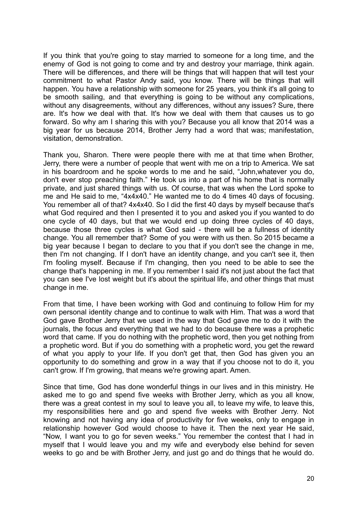If you think that you're going to stay married to someone for a long time, and the enemy of God is not going to come and try and destroy your marriage, think again. There will be differences, and there will be things that will happen that will test your commitment to what Pastor Andy said, you know. There will be things that will happen. You have a relationship with someone for 25 years, you think it's all going to be smooth sailing, and that everything is going to be without any complications, without any disagreements, without any differences, without any issues? Sure, there are. It's how we deal with that. It's how we deal with them that causes us to go forward. So why am I sharing this with you? Because you all know that 2014 was a big year for us because 2014, Brother Jerry had a word that was; manifestation, visitation, demonstration.

Thank you, Sharon. There were people there with me at that time when Brother, Jerry, there were a number of people that went with me on a trip to America. We sat in his boardroom and he spoke words to me and he said, "John,whatever you do, don't ever stop preaching faith." He took us into a part of his home that is normally private, and just shared things with us. Of course, that was when the Lord spoke to me and He said to me, "4x4x40." He wanted me to do 4 times 40 days of focusing. You remember all of that? 4x4x40. So I did the first 40 days by myself because that's what God required and then I presented it to you and asked you if you wanted to do one cycle of 40 days, but that we would end up doing three cycles of 40 days, because those three cycles is what God said - there will be a fullness of identity change. You all remember that? Some of you were with us then. So 2015 became a big year because I began to declare to you that if you don't see the change in me, then I'm not changing. If I don't have an identity change, and you can't see it, then I'm fooling myself. Because if I'm changing, then you need to be able to see the change that's happening in me. If you remember I said it's not just about the fact that you can see I've lost weight but it's about the spiritual life, and other things that must change in me.

From that time, I have been working with God and continuing to follow Him for my own personal identity change and to continue to walk with Him. That was a word that God gave Brother Jerry that we used in the way that God gave me to do it with the journals, the focus and everything that we had to do because there was a prophetic word that came. If you do nothing with the prophetic word, then you get nothing from a prophetic word. But if you do something with a prophetic word, you get the reward of what you apply to your life. If you don't get that, then God has given you an opportunity to do something and grow in a way that if you choose not to do it, you can't grow. If I'm growing, that means we're growing apart. Amen.

Since that time, God has done wonderful things in our lives and in this ministry. He asked me to go and spend five weeks with Brother Jerry, which as you all know, there was a great contest in my soul to leave you all, to leave my wife, to leave this, my responsibilities here and go and spend five weeks with Brother Jerry. Not knowing and not having any idea of productivity for five weeks, only to engage in relationship however God would choose to have it. Then the next year He said, "Now, I want you to go for seven weeks." You remember the contest that I had in myself that I would leave you and my wife and everybody else behind for seven weeks to go and be with Brother Jerry, and just go and do things that he would do.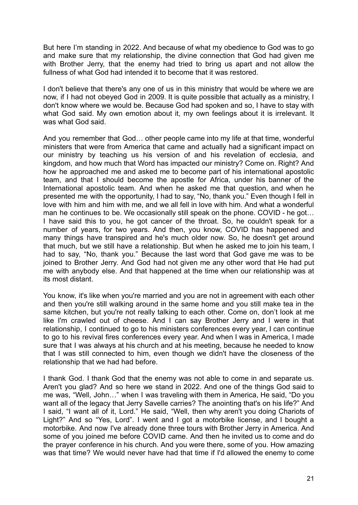But here I'm standing in 2022. And because of what my obedience to God was to go and make sure that my relationship, the divine connection that God had given me with Brother Jerry, that the enemy had tried to bring us apart and not allow the fullness of what God had intended it to become that it was restored.

I don't believe that there's any one of us in this ministry that would be where we are now, if I had not obeyed God in 2009. It is quite possible that actually as a ministry, I don't know where we would be. Because God had spoken and so, I have to stay with what God said. My own emotion about it, my own feelings about it is irrelevant. It was what God said.

And you remember that God… other people came into my life at that time, wonderful ministers that were from America that came and actually had a significant impact on our ministry by teaching us his version of and his revelation of ecclesia, and kingdom, and how much that Word has impacted our ministry? Come on. Right? And how he approached me and asked me to become part of his international apostolic team, and that I should become the apostle for Africa, under his banner of the International apostolic team. And when he asked me that question, and when he presented me with the opportunity, I had to say, "No, thank you." Even though I fell in love with him and him with me, and we all fell in love with him. And what a wonderful man he continues to be. We occasionally still speak on the phone. COVID - he got… I have said this to you, he got cancer of the throat. So, he couldn't speak for a number of years, for two years. And then, you know, COVID has happened and many things have transpired and he's much older now. So, he doesn't get around that much, but we still have a relationship. But when he asked me to join his team, I had to say, "No, thank you." Because the last word that God gave me was to be joined to Brother Jerry. And God had not given me any other word that He had put me with anybody else. And that happened at the time when our relationship was at its most distant.

You know, it's like when you're married and you are not in agreement with each other and then you're still walking around in the same home and you still make tea in the same kitchen, but you're not really talking to each other. Come on, don't look at me like I'm crawled out of cheese. And I can say Brother Jerry and I were in that relationship, I continued to go to his ministers conferences every year, I can continue to go to his revival fires conferences every year. And when I was in America, I made sure that I was always at his church and at his meeting, because he needed to know that I was still connected to him, even though we didn't have the closeness of the relationship that we had had before.

I thank God. I thank God that the enemy was not able to come in and separate us. Aren't you glad? And so here we stand in 2022. And one of the things God said to me was, "Well, John…" when I was traveling with them in America, He said, "Do you want all of the legacy that Jerry Savelle carries? The anointing that's on his life?" And I said, "I want all of it, Lord." He said, "Well, then why aren't you doing Chariots of Light?" And so "Yes, Lord". I went and I got a motorbike license, and I bought a motorbike. And now I've already done three tours with Brother Jerry in America. And some of you joined me before COVID came. And then he invited us to come and do the prayer conference in his church. And you were there, some of you. How amazing was that time? We would never have had that time if I'd allowed the enemy to come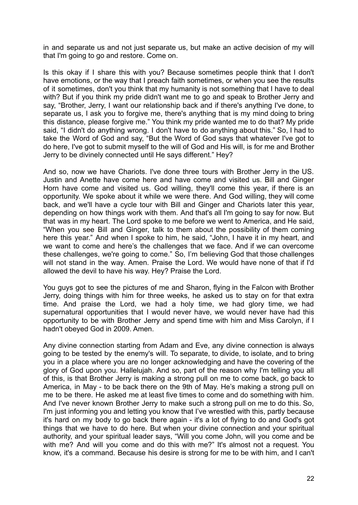in and separate us and not just separate us, but make an active decision of my will that I'm going to go and restore. Come on.

Is this okay if I share this with you? Because sometimes people think that I don't have emotions, or the way that I preach faith sometimes, or when you see the results of it sometimes, don't you think that my humanity is not something that I have to deal with? But if you think my pride didn't want me to go and speak to Brother Jerry and say, "Brother, Jerry, I want our relationship back and if there's anything I've done, to separate us, I ask you to forgive me, there's anything that is my mind doing to bring this distance, please forgive me." You think my pride wanted me to do that? My pride said, "I didn't do anything wrong. I don't have to do anything about this." So, I had to take the Word of God and say, "But the Word of God says that whatever I've got to do here, I've got to submit myself to the will of God and His will, is for me and Brother Jerry to be divinely connected until He says different." Hey?

And so, now we have Chariots. I've done three tours with Brother Jerry in the US. Justin and Anette have come here and have come and visited us. Bill and Ginger Horn have come and visited us. God willing, they'll come this year, if there is an opportunity. We spoke about it while we were there. And God willing, they will come back, and we'll have a cycle tour with Bill and Ginger and Chariots later this year, depending on how things work with them. And that's all I'm going to say for now. But that was in my heart. The Lord spoke to me before we went to America, and He said, "When you see Bill and Ginger, talk to them about the possibility of them coming here this year." And when I spoke to him, he said, "John, I have it in my heart, and we want to come and here's the challenges that we face. And if we can overcome these challenges, we're going to come." So, I'm believing God that those challenges will not stand in the way. Amen. Praise the Lord. We would have none of that if I'd allowed the devil to have his way. Hey? Praise the Lord.

You guys got to see the pictures of me and Sharon, flying in the Falcon with Brother Jerry, doing things with him for three weeks, he asked us to stay on for that extra time. And praise the Lord, we had a holy time, we had glory time, we had supernatural opportunities that I would never have, we would never have had this opportunity to be with Brother Jerry and spend time with him and Miss Carolyn, if I hadn't obeyed God in 2009. Amen.

Any divine connection starting from Adam and Eve, any divine connection is always going to be tested by the enemy's will. To separate, to divide, to isolate, and to bring you in a place where you are no longer acknowledging and have the covering of the glory of God upon you. Hallelujah. And so, part of the reason why I'm telling you all of this, is that Brother Jerry is making a strong pull on me to come back, go back to America, in May - to be back there on the 9th of May. He's making a strong pull on me to be there. He asked me at least five times to come and do something with him. And I've never known Brother Jerry to make such a strong pull on me to do this. So, I'm just informing you and letting you know that I've wrestled with this, partly because it's hard on my body to go back there again - it's a lot of flying to do and God's got things that we have to do here. But when your divine connection and your spiritual authority, and your spiritual leader says, "Will you come John, will you come and be with me? And will you come and do this with me?" It's almost not a request. You know, it's a command. Because his desire is strong for me to be with him, and I can't